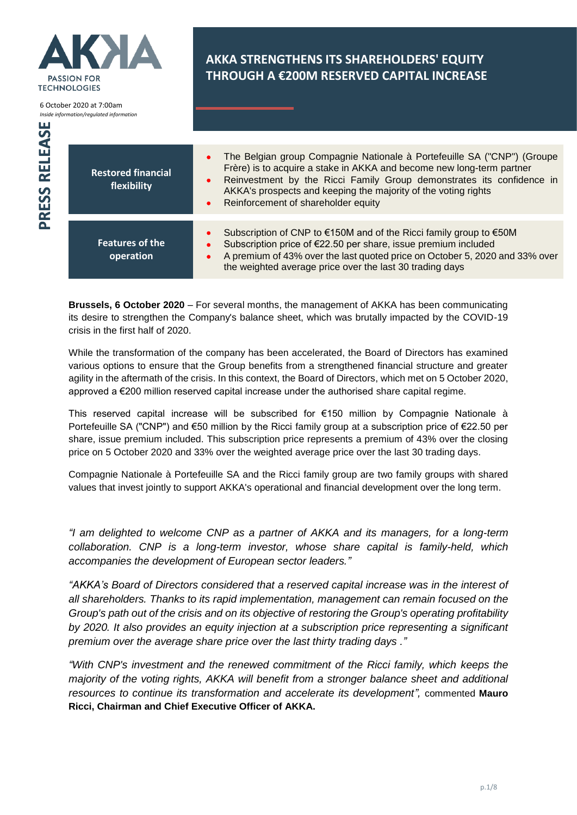

**Brussels, 6 October 2020** – For several months, the management of AKKA has been communicating its desire to strengthen the Company's balance sheet, which was brutally impacted by the COVID-19 crisis in the first half of 2020.

While the transformation of the company has been accelerated, the Board of Directors has examined various options to ensure that the Group benefits from a strengthened financial structure and greater agility in the aftermath of the crisis. In this context, the Board of Directors, which met on 5 October 2020, approved a €200 million reserved capital increase under the authorised share capital regime.

This reserved capital increase will be subscribed for €150 million by Compagnie Nationale à Portefeuille SA ("CNP") and €50 million by the Ricci family group at a subscription price of €22.50 per share, issue premium included. This subscription price represents a premium of 43% over the closing price on 5 October 2020 and 33% over the weighted average price over the last 30 trading days.

Compagnie Nationale à Portefeuille SA and the Ricci family group are two family groups with shared values that invest jointly to support AKKA's operational and financial development over the long term.

*"I am delighted to welcome CNP as a partner of AKKA and its managers, for a long-term collaboration. CNP is a long-term investor, whose share capital is family-held, which accompanies the development of European sector leaders."*

*"AKKA's Board of Directors considered that a reserved capital increase was in the interest of all shareholders. Thanks to its rapid implementation, management can remain focused on the Group's path out of the crisis and on its objective of restoring the Group's operating profitability by 2020. It also provides an equity injection at a subscription price representing a significant premium over the average share price over the last thirty trading days ."*

*"With CNP's investment and the renewed commitment of the Ricci family, which keeps the majority of the voting rights, AKKA will benefit from a stronger balance sheet and additional resources to continue its transformation and accelerate its development",* commented **Mauro Ricci, Chairman and Chief Executive Officer of AKKA.**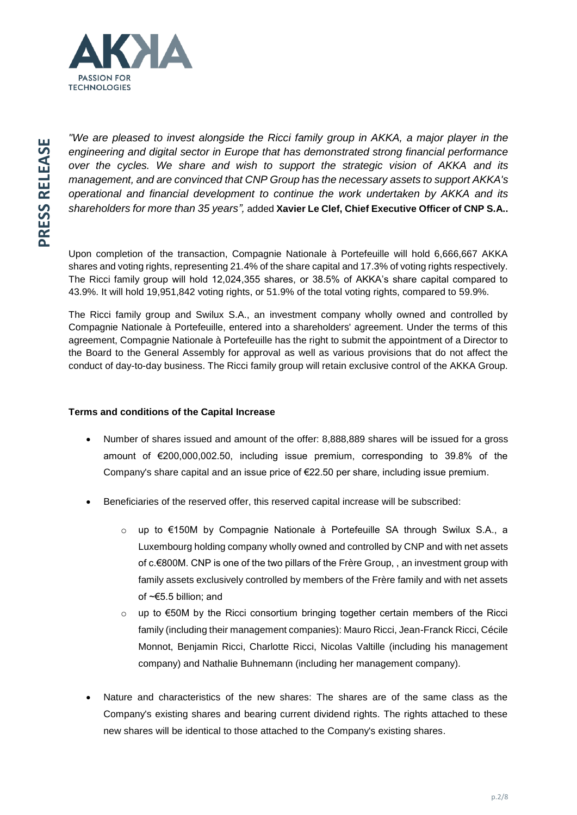

*"We are pleased to invest alongside the Ricci family group in AKKA, a major player in the engineering and digital sector in Europe that has demonstrated strong financial performance over the cycles. We share and wish to support the strategic vision of AKKA and its management, and are convinced that CNP Group has the necessary assets to support AKKA's operational and financial development to continue the work undertaken by AKKA and its shareholders for more than 35 years",* added **Xavier Le Clef, Chief Executive Officer of CNP S.A..**

Upon completion of the transaction, Compagnie Nationale à Portefeuille will hold 6,666,667 AKKA shares and voting rights, representing 21.4% of the share capital and 17.3% of voting rights respectively. The Ricci family group will hold 12,024,355 shares, or 38.5% of AKKA's share capital compared to 43.9%. It will hold 19,951,842 voting rights, or 51.9% of the total voting rights, compared to 59.9%.

The Ricci family group and Swilux S.A., an investment company wholly owned and controlled by Compagnie Nationale à Portefeuille, entered into a shareholders' agreement. Under the terms of this agreement, Compagnie Nationale à Portefeuille has the right to submit the appointment of a Director to the Board to the General Assembly for approval as well as various provisions that do not affect the conduct of day-to-day business. The Ricci family group will retain exclusive control of the AKKA Group.

## **Terms and conditions of the Capital Increase**

- Number of shares issued and amount of the offer: 8,888,889 shares will be issued for a gross amount of €200,000,002.50, including issue premium, corresponding to 39.8% of the Company's share capital and an issue price of €22.50 per share, including issue premium.
- Beneficiaries of the reserved offer, this reserved capital increase will be subscribed:
	- o up to €150M by Compagnie Nationale à Portefeuille SA through Swilux S.A., a Luxembourg holding company wholly owned and controlled by CNP and with net assets of c.€800M. CNP is one of the two pillars of the Frère Group, , an investment group with family assets exclusively controlled by members of the Frère family and with net assets of ~€5.5 billion; and
	- o up to €50M by the Ricci consortium bringing together certain members of the Ricci family (including their management companies): Mauro Ricci, Jean-Franck Ricci, Cécile Monnot, Benjamin Ricci, Charlotte Ricci, Nicolas Valtille (including his management company) and Nathalie Buhnemann (including her management company).
- Nature and characteristics of the new shares: The shares are of the same class as the Company's existing shares and bearing current dividend rights. The rights attached to these new shares will be identical to those attached to the Company's existing shares.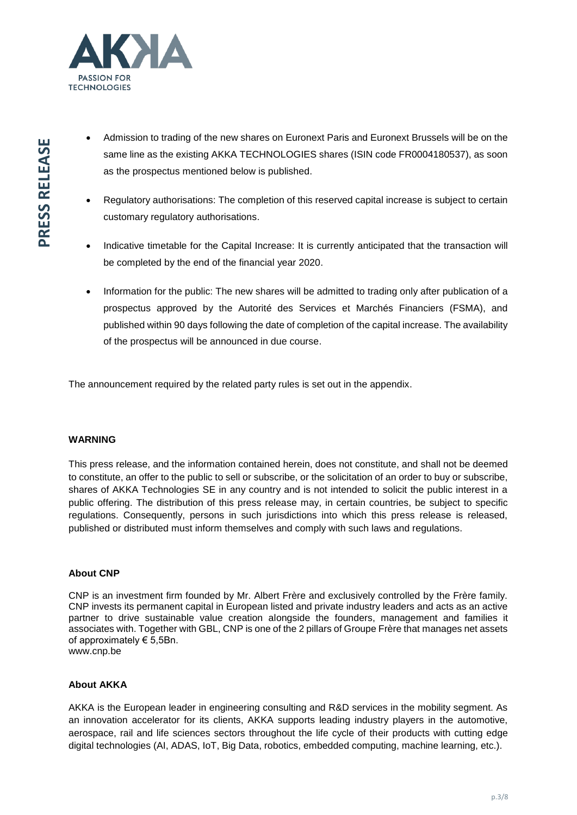

- Admission to trading of the new shares on Euronext Paris and Euronext Brussels will be on the same line as the existing AKKA TECHNOLOGIES shares (ISIN code FR0004180537), as soon as the prospectus mentioned below is published.
- Regulatory authorisations: The completion of this reserved capital increase is subject to certain customary regulatory authorisations.
- Indicative timetable for the Capital Increase: It is currently anticipated that the transaction will be completed by the end of the financial year 2020.
- Information for the public: The new shares will be admitted to trading only after publication of a prospectus approved by the Autorité des Services et Marchés Financiers (FSMA), and published within 90 days following the date of completion of the capital increase. The availability of the prospectus will be announced in due course.

The announcement required by the related party rules is set out in the appendix.

## **WARNING**

This press release, and the information contained herein, does not constitute, and shall not be deemed to constitute, an offer to the public to sell or subscribe, or the solicitation of an order to buy or subscribe, shares of AKKA Technologies SE in any country and is not intended to solicit the public interest in a public offering. The distribution of this press release may, in certain countries, be subject to specific regulations. Consequently, persons in such jurisdictions into which this press release is released, published or distributed must inform themselves and comply with such laws and regulations.

## **About CNP**

CNP is an investment firm founded by Mr. Albert Frère and exclusively controlled by the Frère family. CNP invests its permanent capital in European listed and private industry leaders and acts as an active partner to drive sustainable value creation alongside the founders, management and families it associates with. Together with GBL, CNP is one of the 2 pillars of Groupe Frère that manages net assets of approximately  $\epsilon$  5,5Bn. [www.cnp.be](http://www.cnp.be/)

**About AKKA**

AKKA is the European leader in engineering consulting and R&D services in the mobility segment. As an innovation accelerator for its clients, AKKA supports leading industry players in the automotive, aerospace, rail and life sciences sectors throughout the life cycle of their products with cutting edge digital technologies (AI, ADAS, IoT, Big Data, robotics, embedded computing, machine learning, etc.).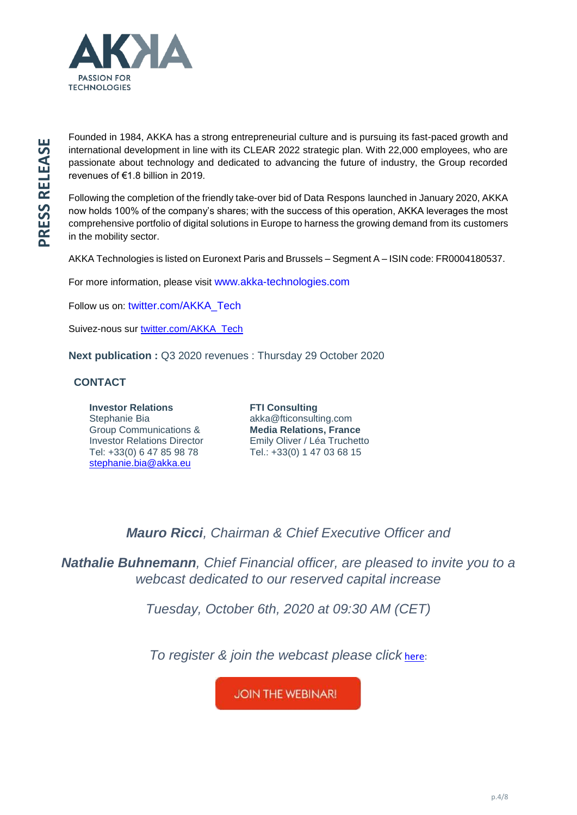

Founded in 1984, AKKA has a strong entrepreneurial culture and is pursuing its fast-paced growth and international development in line with its CLEAR 2022 strategic plan. With 22,000 employees, who are passionate about technology and dedicated to advancing the future of industry, the Group recorded revenues of €1.8 billion in 2019.

Following the completion of the friendly take-over bid of Data Respons launched in January 2020, AKKA now holds 100% of the company's shares; with the success of this operation, AKKA leverages the most comprehensive portfolio of digital solutions in Europe to harness the growing demand from its customers in the mobility sector.

AKKA Technologies is listed on Euronext Paris and Brussels – Segment A – ISIN code: FR0004180537.

For more information, please visit [www.akka-technologies.com](http://www.akka-technologies.com/) 

Follow us on: [twitter.com/AKKA\\_Tech](https://twitter.com/AKKA_Tech)

Suivez-nous sur [twitter.com/AKKA\\_Tech](https://twitter.com/AKKA_Tech)

**Next publication :** Q3 2020 revenues : Thursday 29 October 2020

# **CONTACT**

**Investor Relations** Stephanie Bia Group Communications & Investor Relations Director Tel: +33(0) 6 47 85 98 78 [stephanie.bia@akka.eu](mailto:stephanie.bia@akka.eu)

**FTI Consulting** akka@fticonsulting.com **Media Relations, France** Emily Oliver / Léa Truchetto Tel.: +33(0) 1 47 03 68 15

*Mauro Ricci, Chairman & Chief Executive Officer and* 

*Nathalie Buhnemann, Chief Financial officer, are pleased to invite you to a webcast dedicated to our reserved capital increase*

*Tuesday, October 6th, 2020 at 09:30 AM (CET)*

*To register & join the webcast please click* [here:](https://event.voiceboxer.com/event/5lm0ay/login)

**JOIN THE WEBINAR!**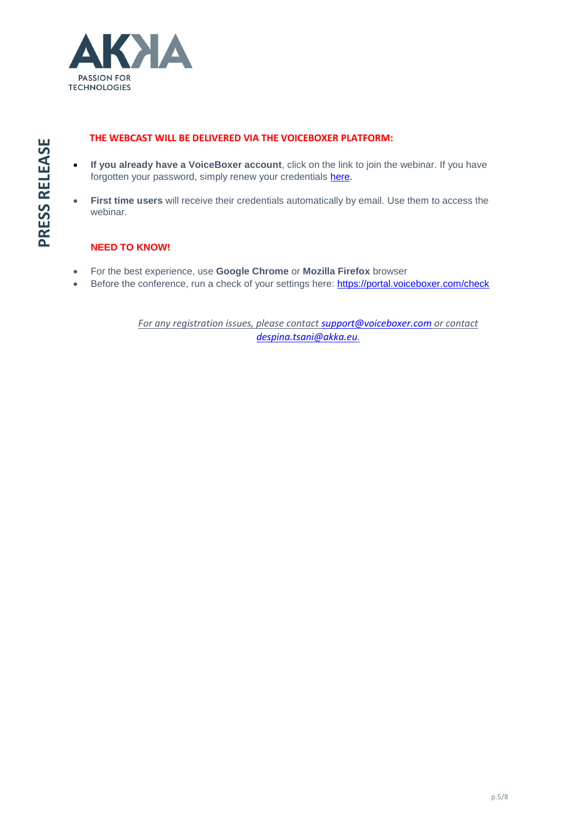

- THE WEBCAST WILL BE DELIVERED VIA THE VOICEBOXER PLATFORM:<br>
If you already have a VoiceBoxer account, click on the link to join the forgotten your password, simply renew your credentials <u>here</u>.<br>
First time users will • **If you already have a VoiceBoxer account**, click on the link to join the webinar. If you have forgotten your password, simply renew your credentials [here.](https://portal.voiceboxer.com/account/forgot)
	- **First time users** will receive their credentials automatically by email. Use them to access the webinar.

# **NEED TO KNOW!**

- For the best experience, use **Google Chrome** or **Mozilla Firefox** browser
- Before the conference, run a check of your settings here:<https://portal.voiceboxer.com/check>

*For any registration issues, please contac[t support@voiceboxer.com](mailto:support@voiceboxer.com) or contact [despina.tsani@akka.eu.](mailto:despina.tsani@akka.eu)*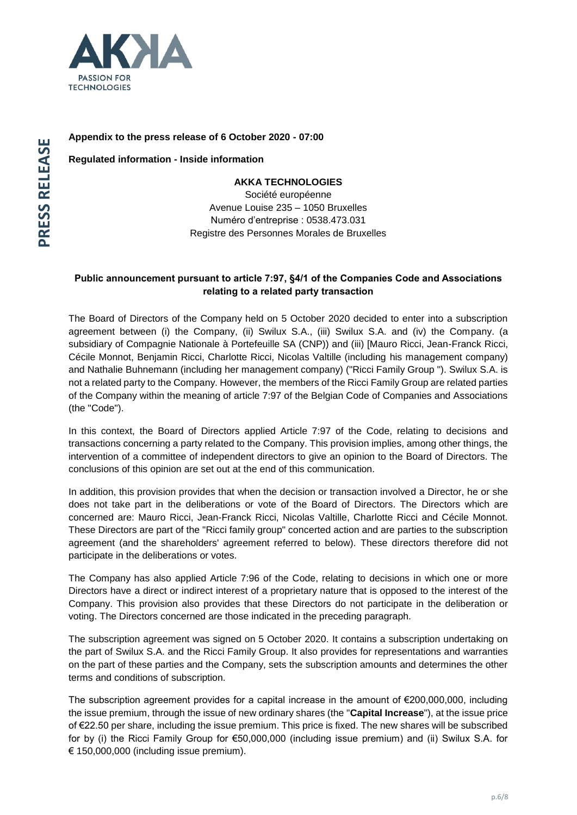

# **Appendix to the press release of 6 October 2020 - 07:00**

**Regulated information - Inside information**

## **AKKA TECHNOLOGIES**

Société européenne Avenue Louise 235 – 1050 Bruxelles Numéro d'entreprise : 0538.473.031 Registre des Personnes Morales de Bruxelles

# **Public announcement pursuant to article 7:97, §4/1 of the Companies Code and Associations relating to a related party transaction**

The Board of Directors of the Company held on 5 October 2020 decided to enter into a subscription agreement between (i) the Company, (ii) Swilux S.A., (iii) Swilux S.A. and (iv) the Company. (a subsidiary of Compagnie Nationale à Portefeuille SA (CNP)) and (iii) [Mauro Ricci, Jean-Franck Ricci, Cécile Monnot, Benjamin Ricci, Charlotte Ricci, Nicolas Valtille (including his management company) and Nathalie Buhnemann (including her management company) ("Ricci Family Group "). Swilux S.A. is not a related party to the Company. However, the members of the Ricci Family Group are related parties of the Company within the meaning of article 7:97 of the Belgian Code of Companies and Associations (the "Code").

In this context, the Board of Directors applied Article 7:97 of the Code, relating to decisions and transactions concerning a party related to the Company. This provision implies, among other things, the intervention of a committee of independent directors to give an opinion to the Board of Directors. The conclusions of this opinion are set out at the end of this communication.

In addition, this provision provides that when the decision or transaction involved a Director, he or she does not take part in the deliberations or vote of the Board of Directors. The Directors which are concerned are: Mauro Ricci, Jean-Franck Ricci, Nicolas Valtille, Charlotte Ricci and Cécile Monnot. These Directors are part of the "Ricci family group" concerted action and are parties to the subscription agreement (and the shareholders' agreement referred to below). These directors therefore did not participate in the deliberations or votes.

The Company has also applied Article 7:96 of the Code, relating to decisions in which one or more Directors have a direct or indirect interest of a proprietary nature that is opposed to the interest of the Company. This provision also provides that these Directors do not participate in the deliberation or voting. The Directors concerned are those indicated in the preceding paragraph.

The subscription agreement was signed on 5 October 2020. It contains a subscription undertaking on the part of Swilux S.A. and the Ricci Family Group. It also provides for representations and warranties on the part of these parties and the Company, sets the subscription amounts and determines the other terms and conditions of subscription.

The subscription agreement provides for a capital increase in the amount of €200,000,000, including the issue premium, through the issue of new ordinary shares (the "**Capital Increase**"), at the issue price of €22.50 per share, including the issue premium. This price is fixed. The new shares will be subscribed for by (i) the Ricci Family Group for €50,000,000 (including issue premium) and (ii) Swilux S.A. for € 150,000,000 (including issue premium).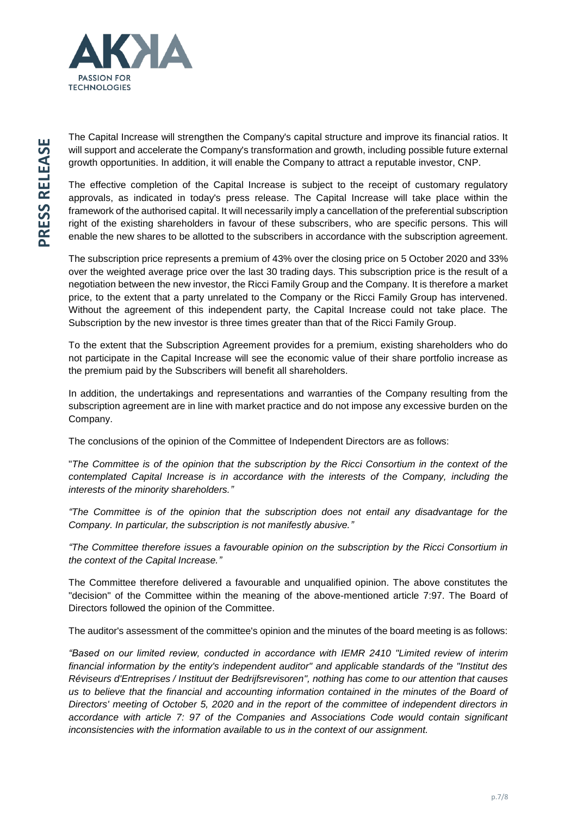

The Capital Increase will strengthen the Company's capital structure and improve its financial ratios. It will support and accelerate the Company's transformation and growth, including possible future external growth opportunities. In addition, it will enable the Company to attract a reputable investor, CNP.

The effective completion of the Capital Increase is subject to the receipt of customary regulatory approvals, as indicated in today's press release. The Capital Increase will take place within the framework of the authorised capital. It will necessarily imply a cancellation of the preferential subscription right of the existing shareholders in favour of these subscribers, who are specific persons. This will enable the new shares to be allotted to the subscribers in accordance with the subscription agreement.

The subscription price represents a premium of 43% over the closing price on 5 October 2020 and 33% over the weighted average price over the last 30 trading days. This subscription price is the result of a negotiation between the new investor, the Ricci Family Group and the Company. It is therefore a market price, to the extent that a party unrelated to the Company or the Ricci Family Group has intervened. Without the agreement of this independent party, the Capital Increase could not take place. The Subscription by the new investor is three times greater than that of the Ricci Family Group.

To the extent that the Subscription Agreement provides for a premium, existing shareholders who do not participate in the Capital Increase will see the economic value of their share portfolio increase as the premium paid by the Subscribers will benefit all shareholders.

In addition, the undertakings and representations and warranties of the Company resulting from the subscription agreement are in line with market practice and do not impose any excessive burden on the Company.

The conclusions of the opinion of the Committee of Independent Directors are as follows:

"*The Committee is of the opinion that the subscription by the Ricci Consortium in the context of the contemplated Capital Increase is in accordance with the interests of the Company, including the interests of the minority shareholders."*

*"The Committee is of the opinion that the subscription does not entail any disadvantage for the Company. In particular, the subscription is not manifestly abusive."*

*"The Committee therefore issues a favourable opinion on the subscription by the Ricci Consortium in the context of the Capital Increase."*

The Committee therefore delivered a favourable and unqualified opinion. The above constitutes the "decision" of the Committee within the meaning of the above-mentioned article 7:97. The Board of Directors followed the opinion of the Committee.

The auditor's assessment of the committee's opinion and the minutes of the board meeting is as follows:

*"Based on our limited review, conducted in accordance with IEMR 2410 "Limited review of interim financial information by the entity's independent auditor" and applicable standards of the "Institut des Réviseurs d'Entreprises / Instituut der Bedrijfsrevisoren", nothing has come to our attention that causes*  us to believe that the financial and accounting information contained in the minutes of the Board of *Directors' meeting of October 5, 2020 and in the report of the committee of independent directors in accordance with article 7: 97 of the Companies and Associations Code would contain significant inconsistencies with the information available to us in the context of our assignment.*